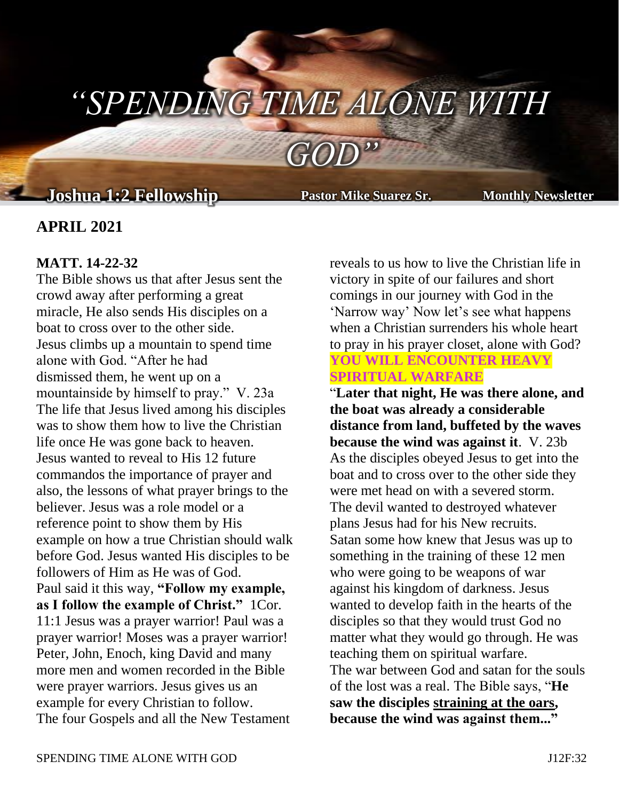# *"SPENDING TIME ALONE WITH*

*GOD"*

## **Joshua 1:2 Fellowship Pastor Mike Suarez Sr. Monthly Newsletter**

**Pastor Mike Suarez Sr.** 

## **APRIL 2021**

#### **MATT. 14-22-32**

The Bible shows us that after Jesus sent the crowd away after performing a great miracle, He also sends His disciples on a boat to cross over to the other side. Jesus climbs up a mountain to spend time alone with God. "After he had dismissed them, he went up on a mountainside by himself to pray." V. 23a The life that Jesus lived among his disciples was to show them how to live the Christian life once He was gone back to heaven. Jesus wanted to reveal to His 12 future commandos the importance of prayer and also, the lessons of what prayer brings to the believer. Jesus was a role model or a reference point to show them by His example on how a true Christian should walk before God. Jesus wanted His disciples to be followers of Him as He was of God. Paul said it this way, **"Follow my example, as I follow the example of Christ."** 1Cor. 11:1 Jesus was a prayer warrior! Paul was a prayer warrior! Moses was a prayer warrior! Peter, John, Enoch, king David and many more men and women recorded in the Bible were prayer warriors. Jesus gives us an example for every Christian to follow. The four Gospels and all the New Testament

reveals to us how to live the Christian life in victory in spite of our failures and short comings in our journey with God in the 'Narrow way' Now let's see what happens when a Christian surrenders his whole heart to pray in his prayer closet, alone with God?

#### **YOU WILL ENCOUNTER HEAVY SPIRITUAL WARFARE**

"**Later that night, He was there alone, and the boat was already a considerable distance from land, buffeted by the waves because the wind was against it**. V. 23b As the disciples obeyed Jesus to get into the boat and to cross over to the other side they were met head on with a severed storm. The devil wanted to destroyed whatever plans Jesus had for his New recruits. Satan some how knew that Jesus was up to something in the training of these 12 men who were going to be weapons of war against his kingdom of darkness. Jesus wanted to develop faith in the hearts of the disciples so that they would trust God no matter what they would go through. He was teaching them on spiritual warfare. The war between God and satan for the souls of the lost was a real. The Bible says, "**He saw the disciples straining at the oars, because the wind was against them..."**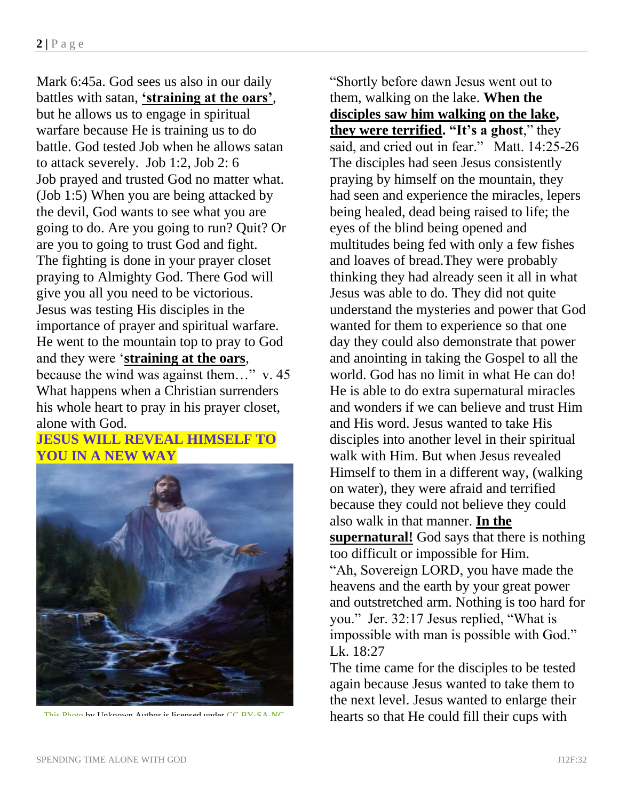Mark 6:45a. God sees us also in our daily battles with satan, **'straining at the oars'**, but he allows us to engage in spiritual warfare because He is training us to do battle. God tested Job when he allows satan to attack severely. Job 1:2, Job 2: 6 Job prayed and trusted God no matter what. (Job 1:5) When you are being attacked by the devil, God wants to see what you are going to do. Are you going to run? Quit? Or are you to going to trust God and fight. The fighting is done in your prayer closet praying to Almighty God. There God will give you all you need to be victorious. Jesus was testing His disciples in the importance of prayer and spiritual warfare. He went to the mountain top to pray to God and they were '**straining at the oars**, because the wind was against them…" v. 45 What happens when a Christian surrenders his whole heart to pray in his prayer closet, alone with God.

## **JESUS WILL REVEAL HIMSELF TO YOU IN A NEW WAY**



"Shortly before dawn Jesus went out to them, walking on the lake. **When the disciples saw him walking on the lake, they were terrified. "It's a ghost**," they said, and cried out in fear." Matt. 14:25-26 The disciples had seen Jesus consistently praying by himself on the mountain, they had seen and experience the miracles, lepers being healed, dead being raised to life; the eyes of the blind being opened and multitudes being fed with only a few fishes and loaves of bread.They were probably thinking they had already seen it all in what Jesus was able to do. They did not quite understand the mysteries and power that God wanted for them to experience so that one day they could also demonstrate that power and anointing in taking the Gospel to all the world. God has no limit in what He can do! He is able to do extra supernatural miracles and wonders if we can believe and trust Him and His word. Jesus wanted to take His disciples into another level in their spiritual walk with Him. But when Jesus revealed Himself to them in a different way, (walking on water), they were afraid and terrified because they could not believe they could also walk in that manner. **In the supernatural!** God says that there is nothing too difficult or impossible for Him. "Ah, Sovereign LORD, you have made the heavens and the earth by your great power and outstretched arm. Nothing is too hard for you." Jer. 32:17 Jesus replied, "What is impossible with man is possible with God." Lk. 18:27

The time came for the disciples to be tested again because Jesus wanted to take them to the next level. Jesus wanted to enlarge their [This Photo](http://www.torchofthefaith.com/news.php?extend.245) by Unknown Author is licensed under [CC BY-SA-NC](https://creativecommons.org/licenses/by-nc-sa/3.0/) hearts so that He could fill their cups with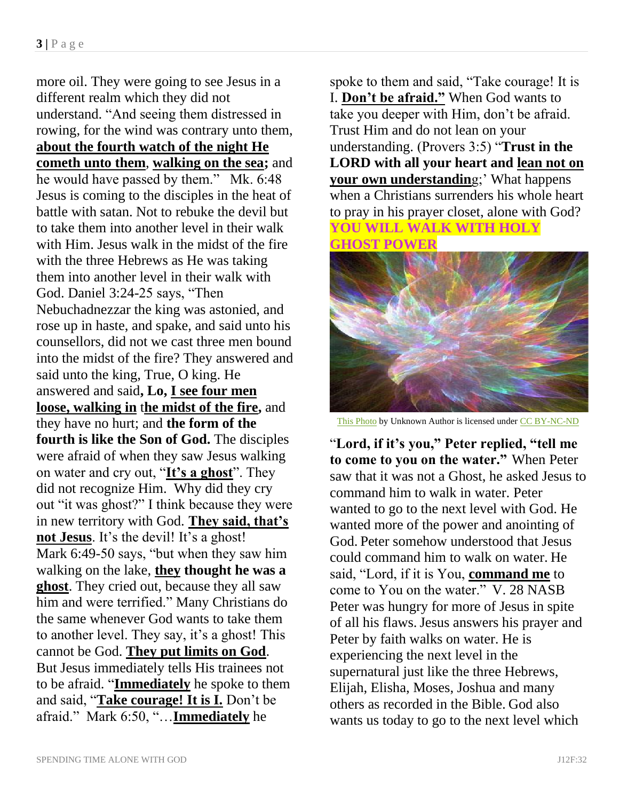more oil. They were going to see Jesus in a different realm which they did not understand. "And seeing them distressed in rowing, for the wind was contrary unto them, **about the fourth watch of the night He cometh unto them**, **walking on the sea;** and he would have passed by them." Mk. 6:48 Jesus is coming to the disciples in the heat of battle with satan. Not to rebuke the devil but to take them into another level in their walk with Him. Jesus walk in the midst of the fire with the three Hebrews as He was taking them into another level in their walk with God. Daniel 3:24-25 says, "Then Nebuchadnezzar the king was astonied, and rose up in haste, and spake, and said unto his counsellors, did not we cast three men bound into the midst of the fire? They answered and said unto the king, True, O king. He answered and said**, Lo, I see four men loose, walking in** t**he midst of the fire,** and they have no hurt; and **the form of the fourth is like the Son of God.** The disciples were afraid of when they saw Jesus walking on water and cry out, "**It's a ghost**". They did not recognize Him. Why did they cry out "it was ghost?" I think because they were in new territory with God. **They said, that's not Jesus**. It's the devil! It's a ghost! Mark 6:49-50 says, "but when they saw him walking on the lake, **they thought he was a ghost**. They cried out, because they all saw him and were terrified." Many Christians do the same whenever God wants to take them to another level. They say, it's a ghost! This cannot be God. **They put limits on God**. But Jesus immediately tells His trainees not to be afraid. "**Immediately** he spoke to them and said, "**Take courage! It is I.** Don't be afraid." Mark 6:50, "…**Immediately** he

spoke to them and said, "Take courage! It is I. **Don't be afraid."** When God wants to take you deeper with Him, don't be afraid. Trust Him and do not lean on your understanding. (Provers 3:5) "**Trust in the LORD with all your heart and lean not on your own understandin**g;' What happens when a Christians surrenders his whole heart to pray in his prayer closet, alone with God? **YOU WILL WALK WITH HOLY** 

**GHOST POWER**



[This Photo](http://www.discerninghearts.com/catholic-podcasts/novena-to-the-holy-spirit-day-8/) by Unknown Author is licensed unde[r CC BY-NC-ND](https://creativecommons.org/licenses/by-nc-nd/3.0/)

"**Lord, if it's you," Peter replied, "tell me to come to you on the water."** When Peter saw that it was not a Ghost, he asked Jesus to command him to walk in water. Peter wanted to go to the next level with God. He wanted more of the power and anointing of God. Peter somehow understood that Jesus could command him to walk on water. He said, "Lord, if it is You, **command me** to come to You on the water." V. 28 NASB Peter was hungry for more of Jesus in spite of all his flaws.Jesus answers his prayer and Peter by faith walks on water. He is experiencing the next level in the supernatural just like the three Hebrews, Elijah, Elisha, Moses, Joshua and many others as recorded in the Bible. God also wants us today to go to the next level which